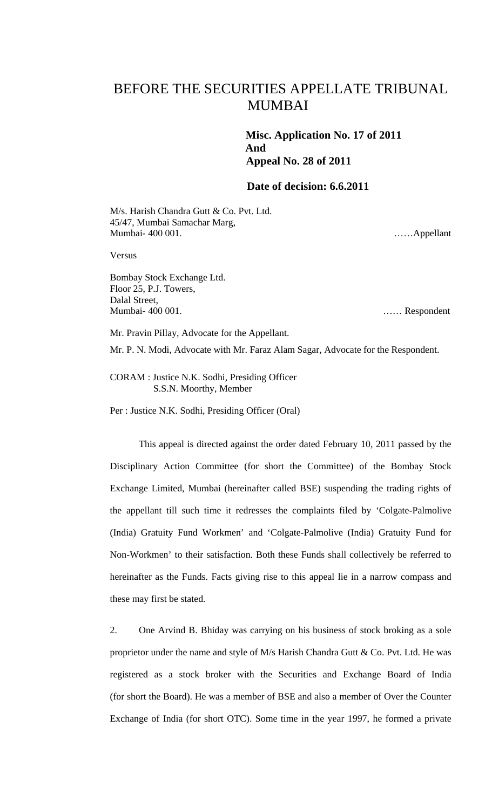## BEFORE THE SECURITIES APPELLATE TRIBUNAL MUMBAI

 **Misc. Application No. 17 of 2011 And Appeal No. 28 of 2011** 

## **Date of decision: 6.6.2011**

M/s. Harish Chandra Gutt & Co. Pvt. Ltd. 45/47, Mumbai Samachar Marg, Mumbai- 400 001.

……Appellant

Versus

Bombay Stock Exchange Ltd. Floor 25, P.J. Towers, Dalal Street, Mumbai- 400 001.

…… Respondent

Mr. Pravin Pillay, Advocate for the Appellant.

Mr. P. N. Modi, Advocate with Mr. Faraz Alam Sagar, Advocate for the Respondent.

CORAM : Justice N.K. Sodhi, Presiding Officer S.S.N. Moorthy, Member

Per : Justice N.K. Sodhi, Presiding Officer (Oral)

This appeal is directed against the order dated February 10, 2011 passed by the Disciplinary Action Committee (for short the Committee) of the Bombay Stock Exchange Limited, Mumbai (hereinafter called BSE) suspending the trading rights of the appellant till such time it redresses the complaints filed by 'Colgate-Palmolive (India) Gratuity Fund Workmen' and 'Colgate-Palmolive (India) Gratuity Fund for Non-Workmen' to their satisfaction. Both these Funds shall collectively be referred to hereinafter as the Funds. Facts giving rise to this appeal lie in a narrow compass and these may first be stated.

2. One Arvind B. Bhiday was carrying on his business of stock broking as a sole proprietor under the name and style of M/s Harish Chandra Gutt & Co. Pvt. Ltd. He was registered as a stock broker with the Securities and Exchange Board of India (for short the Board). He was a member of BSE and also a member of Over the Counter Exchange of India (for short OTC). Some time in the year 1997, he formed a private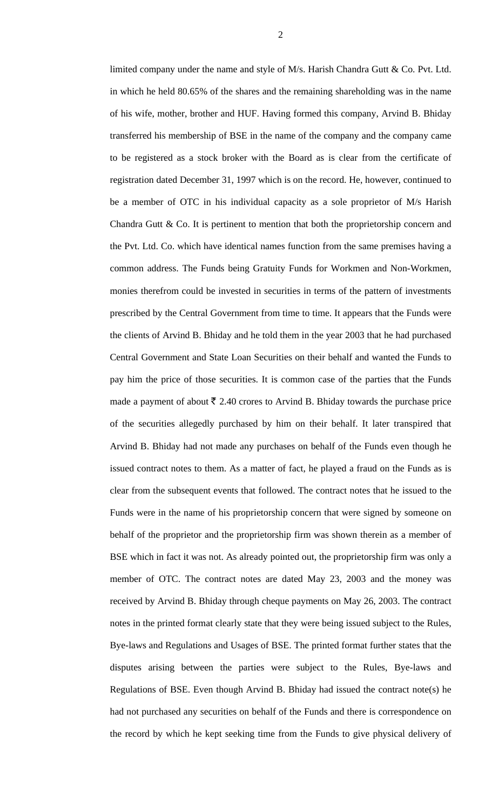limited company under the name and style of M/s. Harish Chandra Gutt & Co. Pvt. Ltd. in which he held 80.65% of the shares and the remaining shareholding was in the name of his wife, mother, brother and HUF. Having formed this company, Arvind B. Bhiday transferred his membership of BSE in the name of the company and the company came to be registered as a stock broker with the Board as is clear from the certificate of registration dated December 31, 1997 which is on the record. He, however, continued to be a member of OTC in his individual capacity as a sole proprietor of M/s Harish Chandra Gutt & Co. It is pertinent to mention that both the proprietorship concern and the Pvt. Ltd. Co. which have identical names function from the same premises having a common address. The Funds being Gratuity Funds for Workmen and Non-Workmen, monies therefrom could be invested in securities in terms of the pattern of investments prescribed by the Central Government from time to time. It appears that the Funds were the clients of Arvind B. Bhiday and he told them in the year 2003 that he had purchased Central Government and State Loan Securities on their behalf and wanted the Funds to pay him the price of those securities. It is common case of the parties that the Funds made a payment of about  $\bar{\tau}$  2.40 crores to Arvind B. Bhiday towards the purchase price of the securities allegedly purchased by him on their behalf. It later transpired that Arvind B. Bhiday had not made any purchases on behalf of the Funds even though he issued contract notes to them. As a matter of fact, he played a fraud on the Funds as is clear from the subsequent events that followed. The contract notes that he issued to the Funds were in the name of his proprietorship concern that were signed by someone on behalf of the proprietor and the proprietorship firm was shown therein as a member of BSE which in fact it was not. As already pointed out, the proprietorship firm was only a member of OTC. The contract notes are dated May 23, 2003 and the money was received by Arvind B. Bhiday through cheque payments on May 26, 2003. The contract notes in the printed format clearly state that they were being issued subject to the Rules, Bye-laws and Regulations and Usages of BSE. The printed format further states that the disputes arising between the parties were subject to the Rules, Bye-laws and Regulations of BSE. Even though Arvind B. Bhiday had issued the contract note(s) he had not purchased any securities on behalf of the Funds and there is correspondence on the record by which he kept seeking time from the Funds to give physical delivery of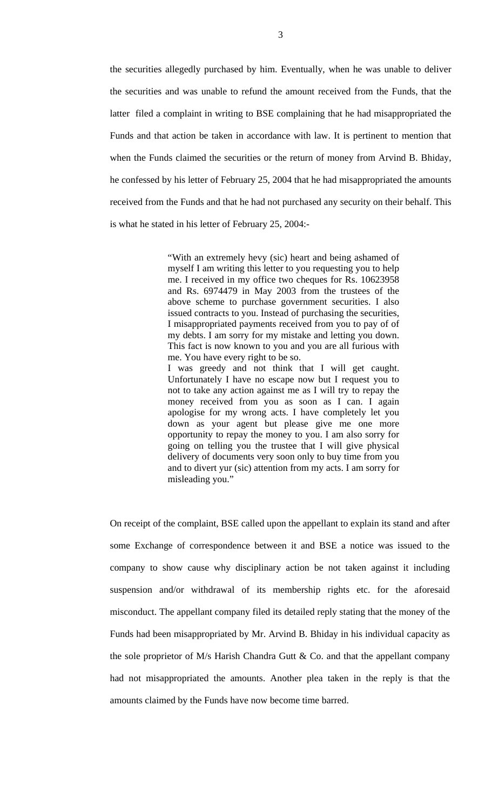the securities allegedly purchased by him. Eventually, when he was unable to deliver the securities and was unable to refund the amount received from the Funds, that the latter filed a complaint in writing to BSE complaining that he had misappropriated the Funds and that action be taken in accordance with law. It is pertinent to mention that when the Funds claimed the securities or the return of money from Arvind B. Bhiday, he confessed by his letter of February 25, 2004 that he had misappropriated the amounts received from the Funds and that he had not purchased any security on their behalf. This is what he stated in his letter of February 25, 2004:-

> "With an extremely hevy (sic) heart and being ashamed of myself I am writing this letter to you requesting you to help me. I received in my office two cheques for Rs. 10623958 and Rs. 6974479 in May 2003 from the trustees of the above scheme to purchase government securities. I also issued contracts to you. Instead of purchasing the securities, I misappropriated payments received from you to pay of of my debts. I am sorry for my mistake and letting you down. This fact is now known to you and you are all furious with me. You have every right to be so. I was greedy and not think that I will get caught. Unfortunately I have no escape now but I request you to not to take any action against me as I will try to repay the money received from you as soon as I can. I again apologise for my wrong acts. I have completely let you down as your agent but please give me one more opportunity to repay the money to you. I am also sorry for going on telling you the trustee that I will give physical delivery of documents very soon only to buy time from you and to divert yur (sic) attention from my acts. I am sorry for misleading you."

On receipt of the complaint, BSE called upon the appellant to explain its stand and after some Exchange of correspondence between it and BSE a notice was issued to the company to show cause why disciplinary action be not taken against it including suspension and/or withdrawal of its membership rights etc. for the aforesaid misconduct. The appellant company filed its detailed reply stating that the money of the Funds had been misappropriated by Mr. Arvind B. Bhiday in his individual capacity as the sole proprietor of M/s Harish Chandra Gutt  $\&$  Co. and that the appellant company had not misappropriated the amounts. Another plea taken in the reply is that the amounts claimed by the Funds have now become time barred.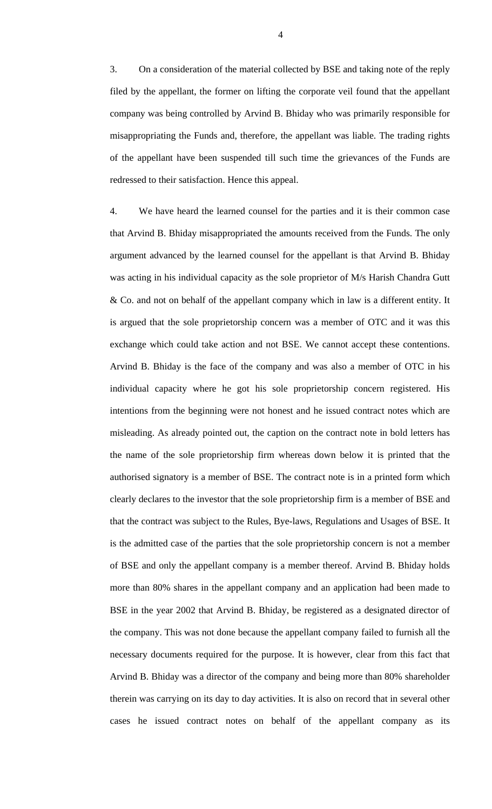3. On a consideration of the material collected by BSE and taking note of the reply filed by the appellant, the former on lifting the corporate veil found that the appellant company was being controlled by Arvind B. Bhiday who was primarily responsible for misappropriating the Funds and, therefore, the appellant was liable. The trading rights of the appellant have been suspended till such time the grievances of the Funds are redressed to their satisfaction. Hence this appeal.

4. We have heard the learned counsel for the parties and it is their common case that Arvind B. Bhiday misappropriated the amounts received from the Funds. The only argument advanced by the learned counsel for the appellant is that Arvind B. Bhiday was acting in his individual capacity as the sole proprietor of M/s Harish Chandra Gutt & Co. and not on behalf of the appellant company which in law is a different entity. It is argued that the sole proprietorship concern was a member of OTC and it was this exchange which could take action and not BSE. We cannot accept these contentions. Arvind B. Bhiday is the face of the company and was also a member of OTC in his individual capacity where he got his sole proprietorship concern registered. His intentions from the beginning were not honest and he issued contract notes which are misleading. As already pointed out, the caption on the contract note in bold letters has the name of the sole proprietorship firm whereas down below it is printed that the authorised signatory is a member of BSE. The contract note is in a printed form which clearly declares to the investor that the sole proprietorship firm is a member of BSE and that the contract was subject to the Rules, Bye-laws, Regulations and Usages of BSE. It is the admitted case of the parties that the sole proprietorship concern is not a member of BSE and only the appellant company is a member thereof. Arvind B. Bhiday holds more than 80% shares in the appellant company and an application had been made to BSE in the year 2002 that Arvind B. Bhiday, be registered as a designated director of the company. This was not done because the appellant company failed to furnish all the necessary documents required for the purpose. It is however, clear from this fact that Arvind B. Bhiday was a director of the company and being more than 80% shareholder therein was carrying on its day to day activities. It is also on record that in several other cases he issued contract notes on behalf of the appellant company as its